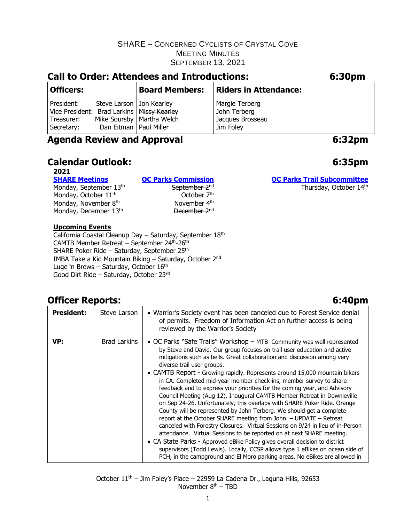| <b>Call to Order: Attendees and Introductions:</b>                                     |                                                        |                             | 6:30pm                                                          |  |
|----------------------------------------------------------------------------------------|--------------------------------------------------------|-----------------------------|-----------------------------------------------------------------|--|
| <b>Officers:</b>                                                                       |                                                        | <b>Board Members:</b>       | <b>Riders in Attendance:</b>                                    |  |
| President:<br>Vice President: Brad Larkins   Missy Kearley<br>Treasurer:<br>Secretary: | Steve Larson   Jon Kearley<br>Dan Eitman   Paul Miller | Mike Soursby   Martha Welch | Margie Terberg<br>John Terberg<br>Jacques Brosseau<br>Jim Foley |  |

## **Agenda Review and Approval 6:32pm**

## **Calendar Outlook: 6:35pm**

## **2021**

#### **[SHARE Meetings](https://sharemtb.com/) [OC Parks Commission](https://www.ocparks.com/about/commission/agenda) [OC Parks Trail Subcommittee](https://www.ocparks.com/parks/trails/meetings)** Monday, September 13<sup>th</sup> September 2<sup>nd</sup> September 2<sup>nd</sup> October 7<sup>th</sup> Monday, October 11<sup>th</sup> Monday, November 8<sup>th</sup> Monday, December 13<sup>th</sup> December 2<sup>nd</sup>

th **November 4<sup>th</sup>** 

## **Upcoming Events**

California Coastal Cleanup Day - Saturday, September 18th CAMTB Member Retreat – September 24th-26th SHARE Poker Ride – Saturday, September 25th IMBA Take a Kid Mountain Biking – Saturday, October 2nd Luge 'n Brews - Saturday, October 16<sup>th</sup> Good Dirt Ride – Saturday, October 23rd

## **Officer Reports: 6:40pm**

| <b>President:</b> | Steve Larson | • Warrior's Society event has been canceled due to Forest Service denial<br>of permits. Freedom of Information Act on further access is being<br>reviewed by the Warrior's Society                                                                                                                                                                                                                                                                                                                                                                                                                                                                                                                                                                                                                                                                                                                                                                                                                                                                                                                                                                                                                             |
|-------------------|--------------|----------------------------------------------------------------------------------------------------------------------------------------------------------------------------------------------------------------------------------------------------------------------------------------------------------------------------------------------------------------------------------------------------------------------------------------------------------------------------------------------------------------------------------------------------------------------------------------------------------------------------------------------------------------------------------------------------------------------------------------------------------------------------------------------------------------------------------------------------------------------------------------------------------------------------------------------------------------------------------------------------------------------------------------------------------------------------------------------------------------------------------------------------------------------------------------------------------------|
| VP:               | Brad Larkins | • OC Parks "Safe Trails" Workshop - MTB Community was well represented<br>by Steve and David. Our group focuses on trail user education and active<br>mitigations such as bells. Great collaboration and discussion among very<br>diverse trail user groups.<br>• CAMTB Report - Growing rapidly. Represents around 15,000 mountain bikers<br>in CA. Completed mid-year member check-ins, member survey to share<br>feedback and to express your priorities for the coming year, and Advisory<br>Council Meeting (Aug 12). Inaugural CAMTB Member Retreat in Downieville<br>on Sep 24-26. Unfortunately, this overlaps with SHARE Poker Ride. Orange<br>County will be represented by John Terberg. We should get a complete<br>report at the October SHARE meeting from John. $-$ UPDATE $-$ Retreat<br>canceled with Forestry Closures. Virtual Sessions on 9/24 in lieu of in-Person<br>attendance. Virtual Sessions to be reported on at next SHARE meeting.<br>• CA State Parks - Approved eBike Policy gives overall decision to district<br>supervisors (Todd Lewis). Locally, CCSP allows type 1 eBikes on ocean side of<br>PCH, in the campground and El Moro parking areas. No eBikes are allowed in |

October 11<sup>th</sup> – Jim Foley's Place – 22959 La Cadena Dr., Laguna Hills, 92653 November 8<sup>th</sup> – TBD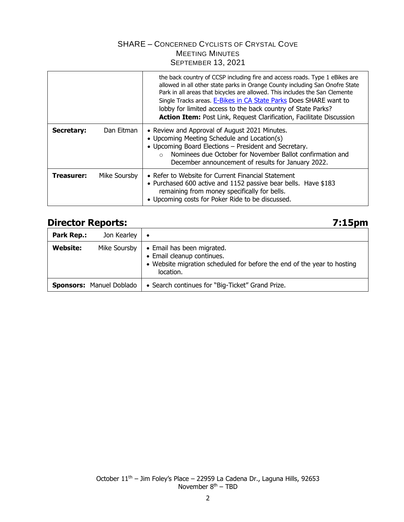|                   |              | the back country of CCSP including fire and access roads. Type 1 eBikes are<br>allowed in all other state parks in Orange County including San Onofre State<br>Park in all areas that bicycles are allowed. This includes the San Clemente<br>Single Tracks areas. E-Bikes in CA State Parks Does SHARE want to<br>lobby for limited access to the back country of State Parks?<br>Action Item: Post Link, Request Clarification, Facilitate Discussion |
|-------------------|--------------|---------------------------------------------------------------------------------------------------------------------------------------------------------------------------------------------------------------------------------------------------------------------------------------------------------------------------------------------------------------------------------------------------------------------------------------------------------|
| Secretary:        | Dan Eitman   | • Review and Approval of August 2021 Minutes.<br>• Upcoming Meeting Schedule and Location(s)<br>• Upcoming Board Elections - President and Secretary.<br>Nominees due October for November Ballot confirmation and<br>$\bigcap$<br>December announcement of results for January 2022.                                                                                                                                                                   |
| <b>Treasurer:</b> | Mike Soursby | • Refer to Website for Current Financial Statement<br>• Purchased 600 active and 1152 passive bear bells. Have \$183<br>remaining from money specifically for bells.<br>• Upcoming costs for Poker Ride to be discussed.                                                                                                                                                                                                                                |

## **Director Reports: 7:15pm**

| <b>Park Rep.:</b> | Jon Kearley                     | ∣ •                                                                                                                                              |
|-------------------|---------------------------------|--------------------------------------------------------------------------------------------------------------------------------------------------|
| Website:          | Mike Soursby                    | • Email has been migrated.<br>• Email cleanup continues.<br>• Website migration scheduled for before the end of the year to hosting<br>location. |
|                   | <b>Sponsors: Manuel Doblado</b> | • Search continues for "Big-Ticket" Grand Prize.                                                                                                 |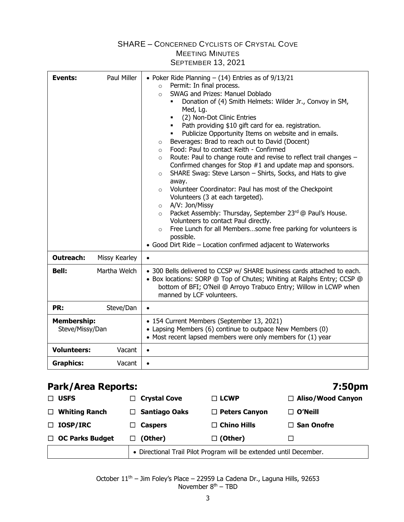| <b>Events:</b>                        | Paul Miller   | • Poker Ride Planning $-$ (14) Entries as of $9/13/21$<br>Permit: In final process.<br>$\circ$<br>SWAG and Prizes: Manuel Doblado<br>$\circ$<br>Donation of (4) Smith Helmets: Wilder Jr., Convoy in SM,<br>Med, Lg.<br>(2) Non-Dot Clinic Entries<br>$\blacksquare$<br>Path providing \$10 gift card for ea. registration.<br>$\blacksquare$<br>Publicize Opportunity Items on website and in emails.<br>$\blacksquare$<br>Beverages: Brad to reach out to David (Docent)<br>$\circ$<br>Food: Paul to contact Keith - Confirmed<br>$\circ$<br>Route: Paul to change route and revise to reflect trail changes -<br>$\circ$<br>Confirmed changes for Stop #1 and update map and sponsors.<br>SHARE Swag: Steve Larson - Shirts, Socks, and Hats to give<br>$\circ$<br>away.<br>Volunteer Coordinator: Paul has most of the Checkpoint<br>$\circ$<br>Volunteers (3 at each targeted).<br>A/V: Jon/Missy<br>$\circ$<br>Packet Assembly: Thursday, September 23rd @ Paul's House.<br>$\circ$<br>Volunteers to contact Paul directly.<br>Free Lunch for all Memberssome free parking for volunteers is<br>$\circ$<br>possible.<br>• Good Dirt Ride - Location confirmed adjacent to Waterworks |  |
|---------------------------------------|---------------|--------------------------------------------------------------------------------------------------------------------------------------------------------------------------------------------------------------------------------------------------------------------------------------------------------------------------------------------------------------------------------------------------------------------------------------------------------------------------------------------------------------------------------------------------------------------------------------------------------------------------------------------------------------------------------------------------------------------------------------------------------------------------------------------------------------------------------------------------------------------------------------------------------------------------------------------------------------------------------------------------------------------------------------------------------------------------------------------------------------------------------------------------------------------------------------------|--|
| <b>Outreach:</b>                      | Missy Kearley | $\bullet$                                                                                                                                                                                                                                                                                                                                                                                                                                                                                                                                                                                                                                                                                                                                                                                                                                                                                                                                                                                                                                                                                                                                                                                  |  |
| <b>Bell:</b>                          | Martha Welch  | • 300 Bells delivered to CCSP w/ SHARE business cards attached to each.<br>• Box locations: SORP @ Top of Chutes; Whiting at Ralphs Entry; CCSP @<br>bottom of BFI; O'Neil @ Arroyo Trabuco Entry; Willow in LCWP when<br>manned by LCF volunteers.                                                                                                                                                                                                                                                                                                                                                                                                                                                                                                                                                                                                                                                                                                                                                                                                                                                                                                                                        |  |
| PR:                                   | Steve/Dan     | $\bullet$                                                                                                                                                                                                                                                                                                                                                                                                                                                                                                                                                                                                                                                                                                                                                                                                                                                                                                                                                                                                                                                                                                                                                                                  |  |
| <b>Membership:</b><br>Steve/Missy/Dan |               | • 154 Current Members (September 13, 2021)<br>• Lapsing Members (6) continue to outpace New Members (0)<br>• Most recent lapsed members were only members for (1) year                                                                                                                                                                                                                                                                                                                                                                                                                                                                                                                                                                                                                                                                                                                                                                                                                                                                                                                                                                                                                     |  |
| <b>Volunteers:</b>                    | Vacant        | $\bullet$                                                                                                                                                                                                                                                                                                                                                                                                                                                                                                                                                                                                                                                                                                                                                                                                                                                                                                                                                                                                                                                                                                                                                                                  |  |
| <b>Graphics:</b>                      | Vacant        | $\bullet$                                                                                                                                                                                                                                                                                                                                                                                                                                                                                                                                                                                                                                                                                                                                                                                                                                                                                                                                                                                                                                                                                                                                                                                  |  |

## **Park/Area Reports: 7:50pm**

| <b>USFS</b><br>$\Box$          | $\Box$ Crystal Cove                                                | $\Box$ LCWP          | $\Box$ Aliso/Wood Canyon |
|--------------------------------|--------------------------------------------------------------------|----------------------|--------------------------|
| <b>Whiting Ranch</b><br>$\Box$ | $\Box$ Santiago Oaks                                               | $\Box$ Peters Canyon | $\Box$ O'Neill           |
| $\Box$ IOSP/IRC                | $\Box$ Caspers                                                     | $\Box$ Chino Hills   | $\Box$ San Onofre        |
| $\Box$ OC Parks Budget         | $\Box$ (Other)                                                     | $\Box$ (Other)       |                          |
|                                | • Directional Trail Pilot Program will be extended until December. |                      |                          |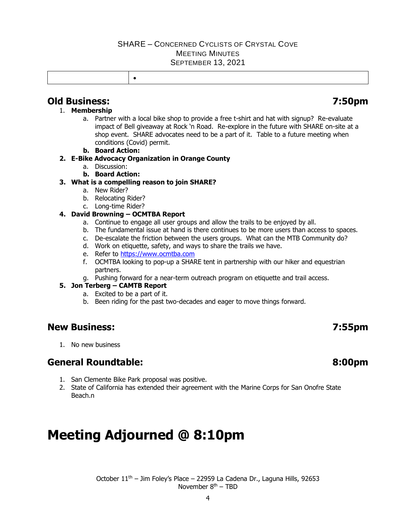## **Old Business: 7:50pm**

### 1. **Membership**

- a. Partner with a local bike shop to provide a free t-shirt and hat with signup? Re-evaluate impact of Bell giveaway at Rock 'n Road. Re-explore in the future with SHARE on-site at a shop event. SHARE advocates need to be a part of it. Table to a future meeting when conditions (Covid) permit.
- **b. Board Action:**

#### **2. E-Bike Advocacy Organization in Orange County**

- a. Discussion:
- **b. Board Action:**

### **3. What is a compelling reason to join SHARE?**

- a. New Rider?
- b. Relocating Rider?
- c. Long-time Rider?

#### **4. David Browning – OCMTBA Report**

- a. Continue to engage all user groups and allow the trails to be enjoyed by all.
- b. The fundamental issue at hand is there continues to be more users than access to spaces.
- c. De-escalate the friction between the users groups. What can the MTB Community do?
- d. Work on etiquette, safety, and ways to share the trails we have.
- e. Refer to [https://www.ocmtba.com](https://www.ocmtba.com/)
- f. OCMTBA looking to pop-up a SHARE tent in partnership with our hiker and equestrian partners.
- g. Pushing forward for a near-term outreach program on etiquette and trail access.

### **5. Jon Terberg – CAMTB Report**

- a. Excited to be a part of it.
- b. Been riding for the past two-decades and eager to move things forward.

## **New Business: 7:55pm**

1. No new business

## **General Roundtable: 8:00pm**

- 1. San Clemente Bike Park proposal was positive.
- 2. State of California has extended their agreement with the Marine Corps for San Onofre State Beach.n

# **Meeting Adjourned @ 8:10pm**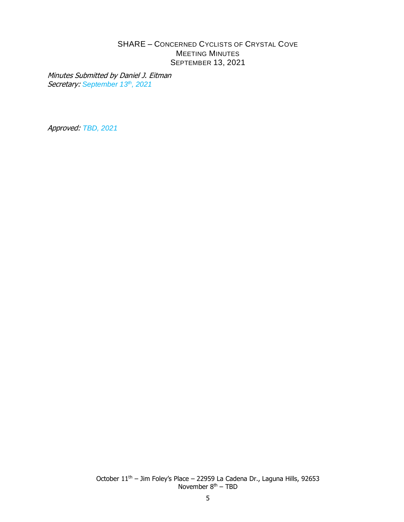Minutes Submitted by Daniel J. Eitman Secretary: *September 13th , 2021*

Approved: *TBD, 2021*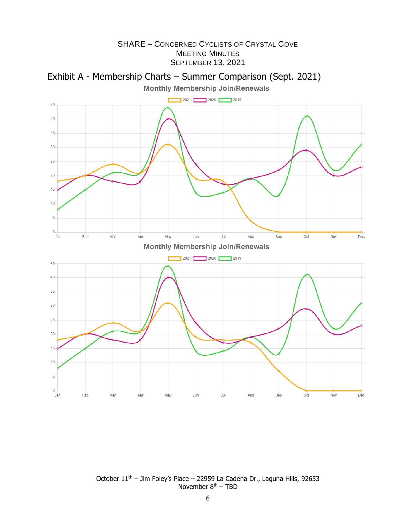



October 11<sup>th</sup> – Jim Foley's Place – 22959 La Cadena Dr., Laguna Hills, 92653 November 8<sup>th</sup> – TBD